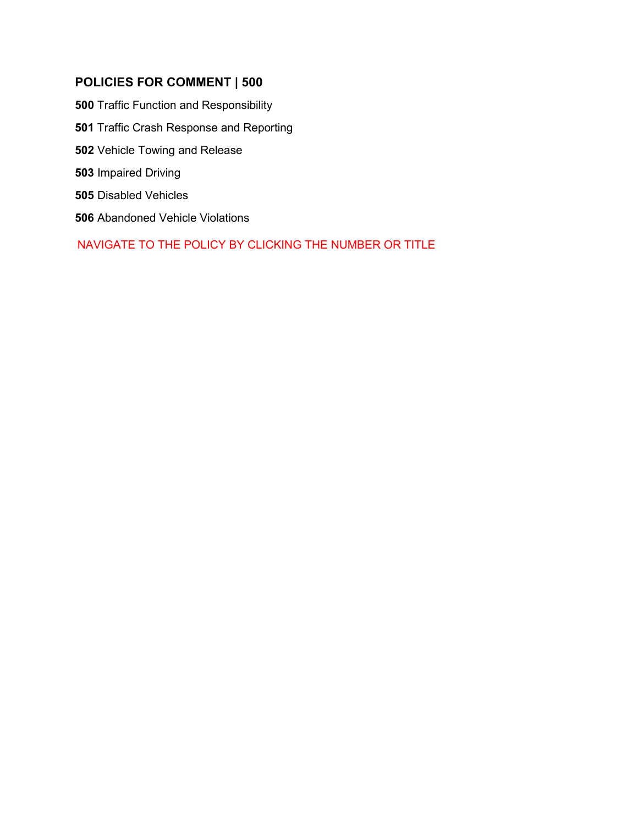# **POLICIES FOR COMMENT | 500**

 [Traffic Function and Responsibility](#page-1-0) [Traffic Crash Response and Reporting](#page-6-0) [Vehicle Towing and Release](#page-11-0) [Impaired Driving](#page-14-0) [Disabled Vehicles](#page-21-0) [Abandoned Vehicle Violations](#page-22-0)

NAVIGATE TO THE POLICY BY CLICKING THE NUMBER OR TITLE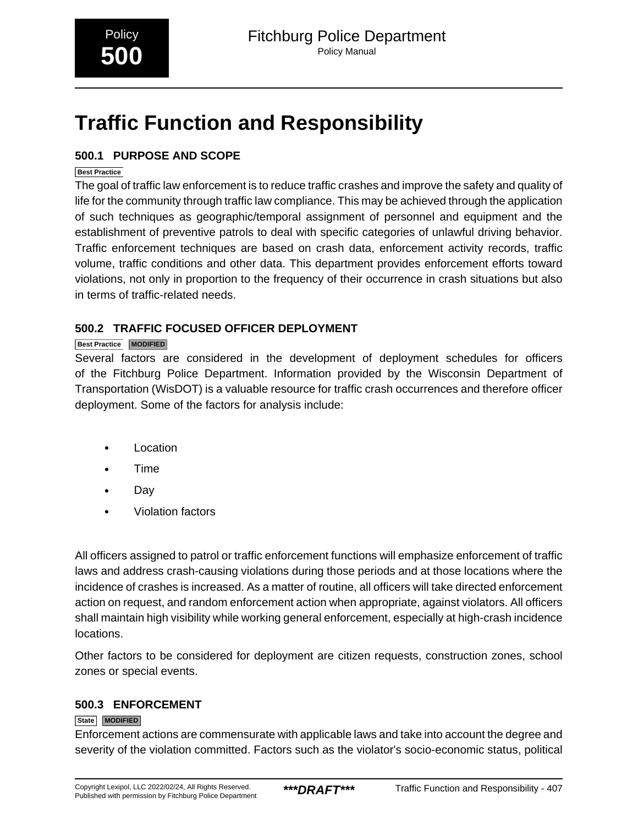# <span id="page-1-0"></span>**Traffic Function and Responsibility**

# **500.1 PURPOSE AND SCOPE**

#### **Best Practice**

The goal of traffic law enforcement is to reduce traffic crashes and improve the safety and quality of life for the community through traffic law compliance. This may be achieved through the application of such techniques as geographic/temporal assignment of personnel and equipment and the establishment of preventive patrols to deal with specific categories of unlawful driving behavior. Traffic enforcement techniques are based on crash data, enforcement activity records, traffic volume, traffic conditions and other data. This department provides enforcement efforts toward violations, not only in proportion to the frequency of their occurrence in crash situations but also in terms of traffic-related needs.

# **500.2 TRAFFIC FOCUSED OFFICER DEPLOYMENT**

#### **Best Practice MODIFIED**

Several factors are considered in the development of deployment schedules for officers of the Fitchburg Police Department. Information provided by the Wisconsin Department of Transportation (WisDOT) is a valuable resource for traffic crash occurrences and therefore officer deployment. Some of the factors for analysis include:

- Location
- Time
- Day
- Violation factors

All officers assigned to patrol or traffic enforcement functions will emphasize enforcement of traffic laws and address crash-causing violations during those periods and at those locations where the incidence of crashes is increased. As a matter of routine, all officers will take directed enforcement action on request, and random enforcement action when appropriate, against violators. All officers shall maintain high visibility while working general enforcement, especially at high-crash incidence locations.

Other factors to be considered for deployment are citizen requests, construction zones, school zones or special events.

# **500.3 ENFORCEMENT**

#### **State MODIFIED**

Enforcement actions are commensurate with applicable laws and take into account the degree and severity of the violation committed. Factors such as the violator's socio-economic status, political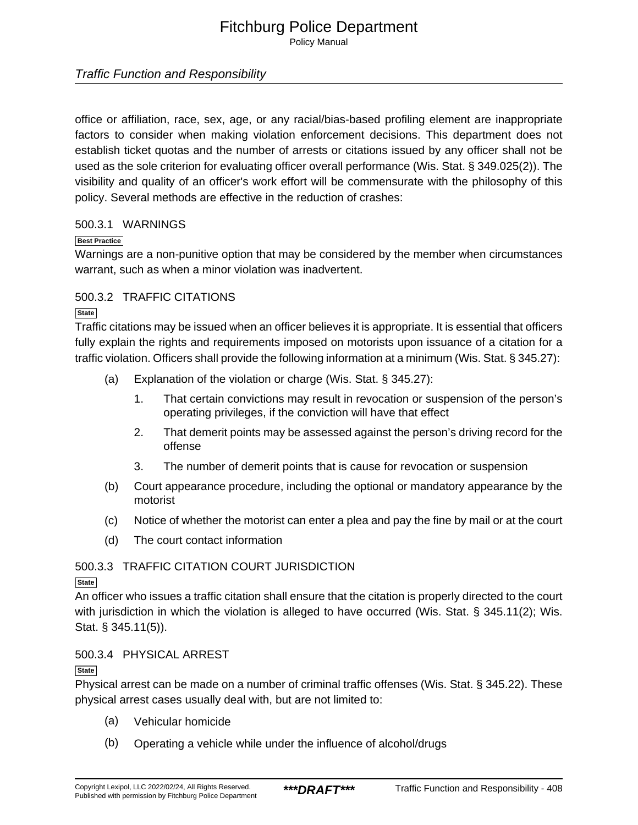Policy Manual

### Traffic Function and Responsibility

office or affiliation, race, sex, age, or any racial/bias-based profiling element are inappropriate factors to consider when making violation enforcement decisions. This department does not establish ticket quotas and the number of arrests or citations issued by any officer shall not be used as the sole criterion for evaluating officer overall performance (Wis. Stat. § 349.025(2)). The visibility and quality of an officer's work effort will be commensurate with the philosophy of this policy. Several methods are effective in the reduction of crashes:

#### 500.3.1 WARNINGS

#### **Best Practice**

Warnings are a non-punitive option that may be considered by the member when circumstances warrant, such as when a minor violation was inadvertent.

#### 500.3.2 TRAFFIC CITATIONS

**State**

Traffic citations may be issued when an officer believes it is appropriate. It is essential that officers fully explain the rights and requirements imposed on motorists upon issuance of a citation for a traffic violation. Officers shall provide the following information at a minimum (Wis. Stat. § 345.27):

- (a) Explanation of the violation or charge (Wis. Stat. § 345.27):
	- 1. That certain convictions may result in revocation or suspension of the person's operating privileges, if the conviction will have that effect
	- 2. That demerit points may be assessed against the person's driving record for the offense
	- 3. The number of demerit points that is cause for revocation or suspension
- (b) Court appearance procedure, including the optional or mandatory appearance by the motorist
- (c) Notice of whether the motorist can enter a plea and pay the fine by mail or at the court
- (d) The court contact information

#### 500.3.3 TRAFFIC CITATION COURT JURISDICTION

#### **State**

An officer who issues a traffic citation shall ensure that the citation is properly directed to the court with jurisdiction in which the violation is alleged to have occurred (Wis. Stat. § 345.11(2); Wis. Stat. § 345.11(5)).

#### 500.3.4 PHYSICAL ARREST

#### **State**

Physical arrest can be made on a number of criminal traffic offenses (Wis. Stat. § 345.22). These physical arrest cases usually deal with, but are not limited to:

- (a) Vehicular homicide
- (b) Operating a vehicle while under the influence of alcohol/drugs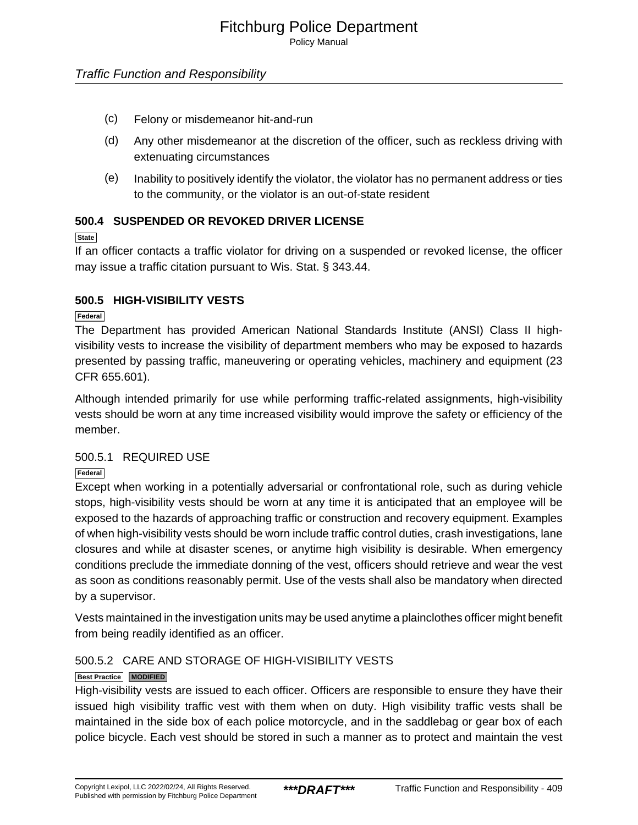- (c) Felony or misdemeanor hit-and-run
- (d) Any other misdemeanor at the discretion of the officer, such as reckless driving with extenuating circumstances
- (e) Inability to positively identify the violator, the violator has no permanent address or ties to the community, or the violator is an out-of-state resident

#### **500.4 SUSPENDED OR REVOKED DRIVER LICENSE**

#### **State**

If an officer contacts a traffic violator for driving on a suspended or revoked license, the officer may issue a traffic citation pursuant to Wis. Stat. § 343.44.

#### **500.5 HIGH-VISIBILITY VESTS**

**Federal**

The Department has provided American National Standards Institute (ANSI) Class II highvisibility vests to increase the visibility of department members who may be exposed to hazards presented by passing traffic, maneuvering or operating vehicles, machinery and equipment (23 CFR 655.601).

Although intended primarily for use while performing traffic-related assignments, high-visibility vests should be worn at any time increased visibility would improve the safety or efficiency of the member.

#### 500.5.1 REQUIRED USE

#### **Federal**

Except when working in a potentially adversarial or confrontational role, such as during vehicle stops, high-visibility vests should be worn at any time it is anticipated that an employee will be exposed to the hazards of approaching traffic or construction and recovery equipment. Examples of when high-visibility vests should be worn include traffic control duties, crash investigations, lane closures and while at disaster scenes, or anytime high visibility is desirable. When emergency conditions preclude the immediate donning of the vest, officers should retrieve and wear the vest as soon as conditions reasonably permit. Use of the vests shall also be mandatory when directed by a supervisor.

Vests maintained in the investigation units may be used anytime a plainclothes officer might benefit from being readily identified as an officer.

#### 500.5.2 CARE AND STORAGE OF HIGH-VISIBILITY VESTS

#### **Best Practice MODIFIED**

High-visibility vests are issued to each officer. Officers are responsible to ensure they have their issued high visibility traffic vest with them when on duty. High visibility traffic vests shall be maintained in the side box of each police motorcycle, and in the saddlebag or gear box of each police bicycle. Each vest should be stored in such a manner as to protect and maintain the vest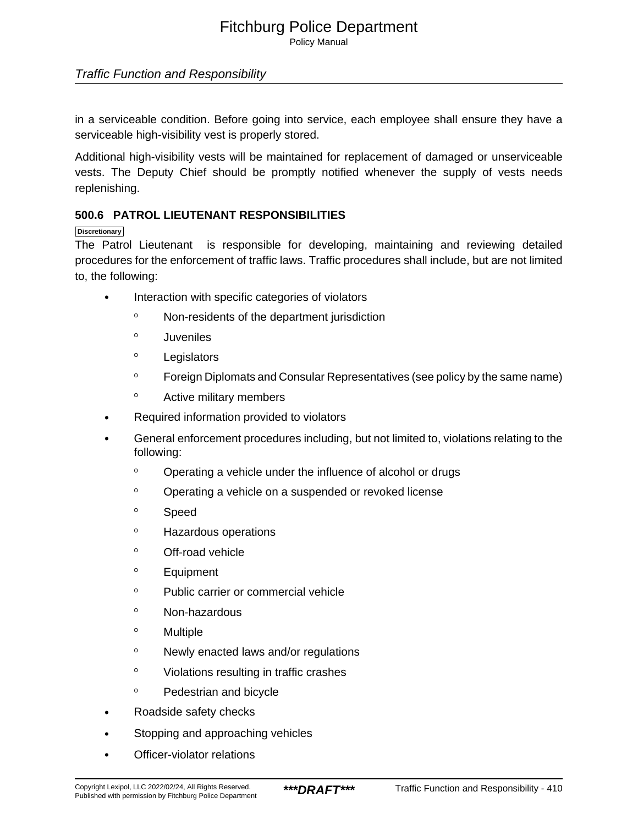Policy Manual

### Traffic Function and Responsibility

in a serviceable condition. Before going into service, each employee shall ensure they have a serviceable high-visibility vest is properly stored.

Additional high-visibility vests will be maintained for replacement of damaged or unserviceable vests. The Deputy Chief should be promptly notified whenever the supply of vests needs replenishing.

#### **500.6 PATROL LIEUTENANT RESPONSIBILITIES**

#### **Discretionary**

The Patrol Lieutenant is responsible for developing, maintaining and reviewing detailed procedures for the enforcement of traffic laws. Traffic procedures shall include, but are not limited to, the following:

- Interaction with specific categories of violators
	- <sup>o</sup> Non-residents of the department jurisdiction
	- <sup>o</sup> Juveniles
	- <sup>o</sup> Legislators
	- <sup>o</sup> Foreign Diplomats and Consular Representatives (see policy by the same name)
	- <sup>o</sup> Active military members
- Required information provided to violators
- General enforcement procedures including, but not limited to, violations relating to the following:
	- <sup>o</sup> Operating a vehicle under the influence of alcohol or drugs
	- <sup>o</sup> Operating a vehicle on a suspended or revoked license
	- <sup>o</sup> Speed
	- <sup>o</sup> Hazardous operations
	- <sup>o</sup> Off-road vehicle
	- <sup>o</sup> Equipment
	- <sup>o</sup> Public carrier or commercial vehicle
	- <sup>o</sup> Non-hazardous
	- <sup>o</sup> Multiple
	- <sup>o</sup> Newly enacted laws and/or regulations
	- <sup>o</sup> Violations resulting in traffic crashes
	- <sup>o</sup> Pedestrian and bicycle
- Roadside safety checks
- Stopping and approaching vehicles
- Officer-violator relations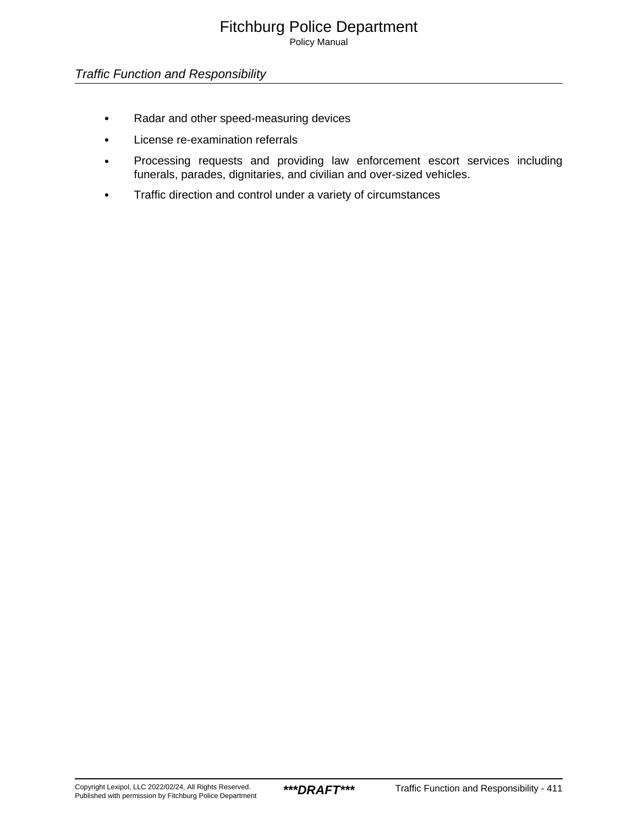### Traffic Function and Responsibility

- Radar and other speed-measuring devices
- License re-examination referrals
- Processing requests and providing law enforcement escort services including funerals, parades, dignitaries, and civilian and over-sized vehicles.
- Traffic direction and control under a variety of circumstances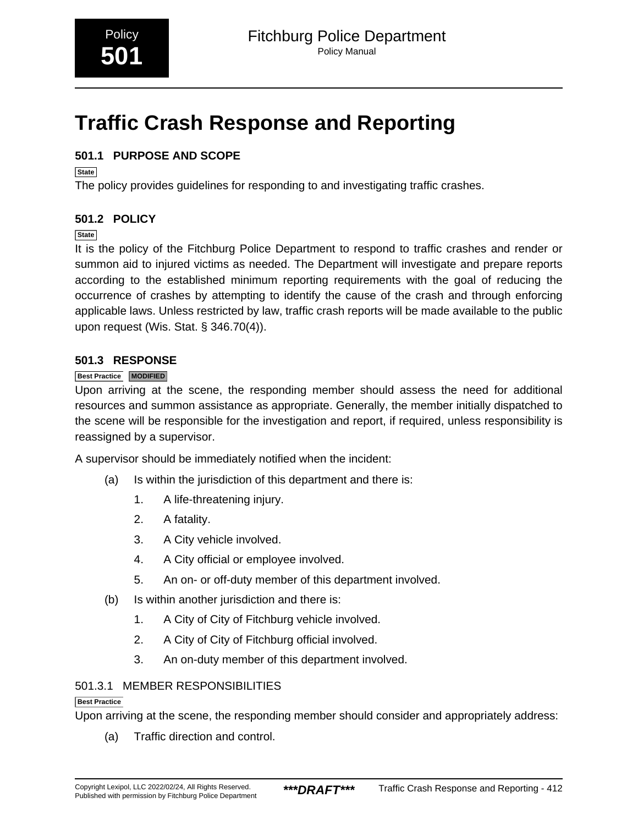# <span id="page-6-0"></span>**Traffic Crash Response and Reporting**

# **501.1 PURPOSE AND SCOPE**

**State**

The policy provides guidelines for responding to and investigating traffic crashes.

# **501.2 POLICY**

**State**

It is the policy of the Fitchburg Police Department to respond to traffic crashes and render or summon aid to injured victims as needed. The Department will investigate and prepare reports according to the established minimum reporting requirements with the goal of reducing the occurrence of crashes by attempting to identify the cause of the crash and through enforcing applicable laws. Unless restricted by law, traffic crash reports will be made available to the public upon request (Wis. Stat. § 346.70(4)).

### **501.3 RESPONSE**

#### **Best Practice MODIFIED**

Upon arriving at the scene, the responding member should assess the need for additional resources and summon assistance as appropriate. Generally, the member initially dispatched to the scene will be responsible for the investigation and report, if required, unless responsibility is reassigned by a supervisor.

A supervisor should be immediately notified when the incident:

- (a) Is within the jurisdiction of this department and there is:
	- 1. A life-threatening injury.
	- 2. A fatality.
	- 3. A City vehicle involved.
	- 4. A City official or employee involved.
	- 5. An on- or off-duty member of this department involved.
- (b) Is within another jurisdiction and there is:
	- 1. A City of City of Fitchburg vehicle involved.
	- 2. A City of City of Fitchburg official involved.
	- 3. An on-duty member of this department involved.

#### 501.3.1 MEMBER RESPONSIBILITIES

#### **Best Practice**

Upon arriving at the scene, the responding member should consider and appropriately address:

(a) Traffic direction and control.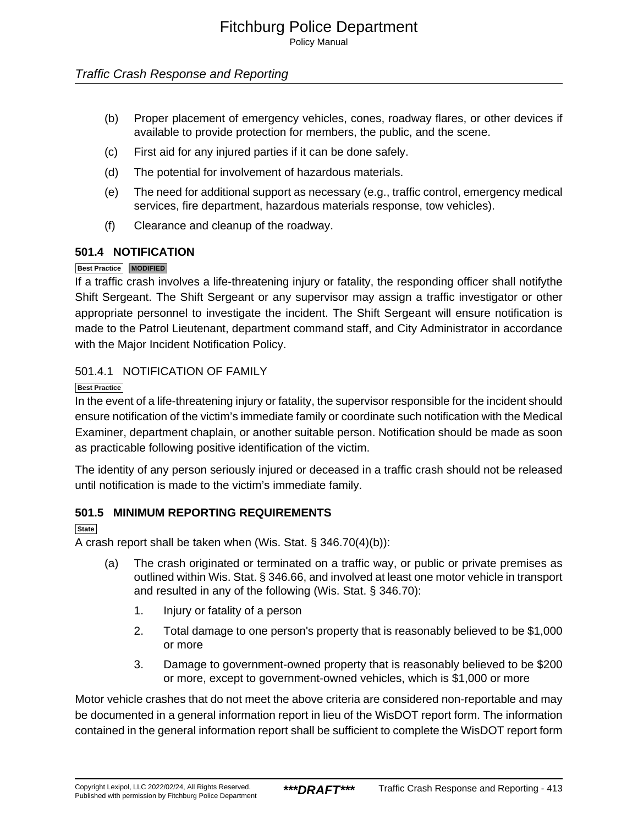### Traffic Crash Response and Reporting

- (b) Proper placement of emergency vehicles, cones, roadway flares, or other devices if available to provide protection for members, the public, and the scene.
- (c) First aid for any injured parties if it can be done safely.
- (d) The potential for involvement of hazardous materials.
- (e) The need for additional support as necessary (e.g., traffic control, emergency medical services, fire department, hazardous materials response, tow vehicles).
- (f) Clearance and cleanup of the roadway.

#### **501.4 NOTIFICATION**

#### **Best Practice MODIFIED**

If a traffic crash involves a life-threatening injury or fatality, the responding officer shall notifythe Shift Sergeant. The Shift Sergeant or any supervisor may assign a traffic investigator or other appropriate personnel to investigate the incident. The Shift Sergeant will ensure notification is made to the Patrol Lieutenant, department command staff, and City Administrator in accordance with the Major Incident Notification Policy.

#### 501.4.1 NOTIFICATION OF FAMILY

**Best Practice**

In the event of a life-threatening injury or fatality, the supervisor responsible for the incident should ensure notification of the victim's immediate family or coordinate such notification with the Medical Examiner, department chaplain, or another suitable person. Notification should be made as soon as practicable following positive identification of the victim.

The identity of any person seriously injured or deceased in a traffic crash should not be released until notification is made to the victim's immediate family.

#### **501.5 MINIMUM REPORTING REQUIREMENTS**

**State**

A crash report shall be taken when (Wis. Stat. § 346.70(4)(b)):

- (a) The crash originated or terminated on a traffic way, or public or private premises as outlined within Wis. Stat. § 346.66, and involved at least one motor vehicle in transport and resulted in any of the following (Wis. Stat. § 346.70):
	- 1. Injury or fatality of a person
	- 2. Total damage to one person's property that is reasonably believed to be \$1,000 or more
	- 3. Damage to government-owned property that is reasonably believed to be \$200 or more, except to government-owned vehicles, which is \$1,000 or more

Motor vehicle crashes that do not meet the above criteria are considered non-reportable and may be documented in a general information report in lieu of the WisDOT report form. The information contained in the general information report shall be sufficient to complete the WisDOT report form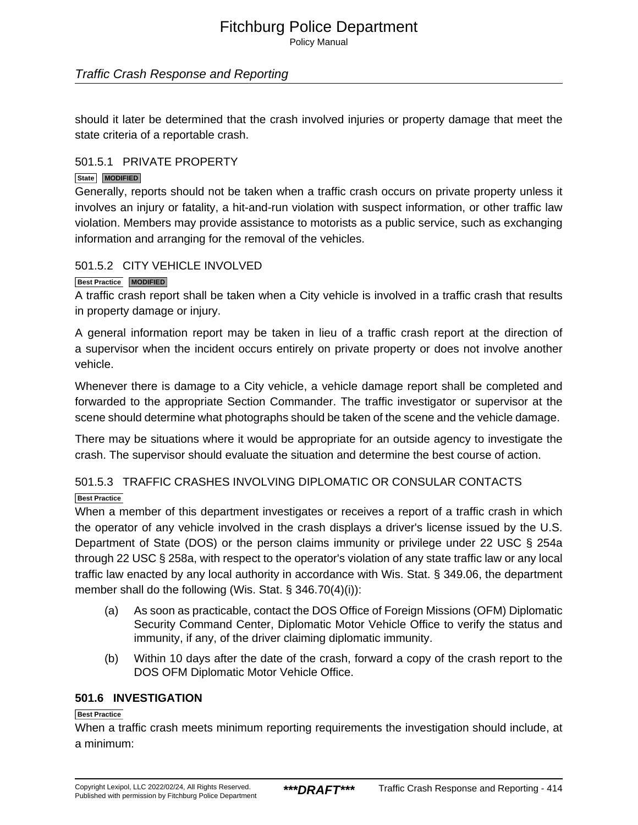Policy Manual

#### Traffic Crash Response and Reporting

should it later be determined that the crash involved injuries or property damage that meet the state criteria of a reportable crash.

#### 501.5.1 PRIVATE PROPERTY

#### **State MODIFIED**

Generally, reports should not be taken when a traffic crash occurs on private property unless it involves an injury or fatality, a hit-and-run violation with suspect information, or other traffic law violation. Members may provide assistance to motorists as a public service, such as exchanging information and arranging for the removal of the vehicles.

#### 501.5.2 CITY VEHICLE INVOLVED

#### **Best Practice MODIFIED**

A traffic crash report shall be taken when a City vehicle is involved in a traffic crash that results in property damage or injury.

A general information report may be taken in lieu of a traffic crash report at the direction of a supervisor when the incident occurs entirely on private property or does not involve another vehicle.

Whenever there is damage to a City vehicle, a vehicle damage report shall be completed and forwarded to the appropriate Section Commander. The traffic investigator or supervisor at the scene should determine what photographs should be taken of the scene and the vehicle damage.

There may be situations where it would be appropriate for an outside agency to investigate the crash. The supervisor should evaluate the situation and determine the best course of action.

# 501.5.3 TRAFFIC CRASHES INVOLVING DIPLOMATIC OR CONSULAR CONTACTS **Best Practice**

When a member of this department investigates or receives a report of a traffic crash in which the operator of any vehicle involved in the crash displays a driver's license issued by the U.S. Department of State (DOS) or the person claims immunity or privilege under 22 USC § 254a through 22 USC § 258a, with respect to the operator's violation of any state traffic law or any local traffic law enacted by any local authority in accordance with Wis. Stat. § 349.06, the department member shall do the following (Wis. Stat. § 346.70(4)(i)):

- (a) As soon as practicable, contact the DOS Office of Foreign Missions (OFM) Diplomatic Security Command Center, Diplomatic Motor Vehicle Office to verify the status and immunity, if any, of the driver claiming diplomatic immunity.
- (b) Within 10 days after the date of the crash, forward a copy of the crash report to the DOS OFM Diplomatic Motor Vehicle Office.

#### **501.6 INVESTIGATION**

#### **Best Practice**

When a traffic crash meets minimum reporting requirements the investigation should include, at a minimum: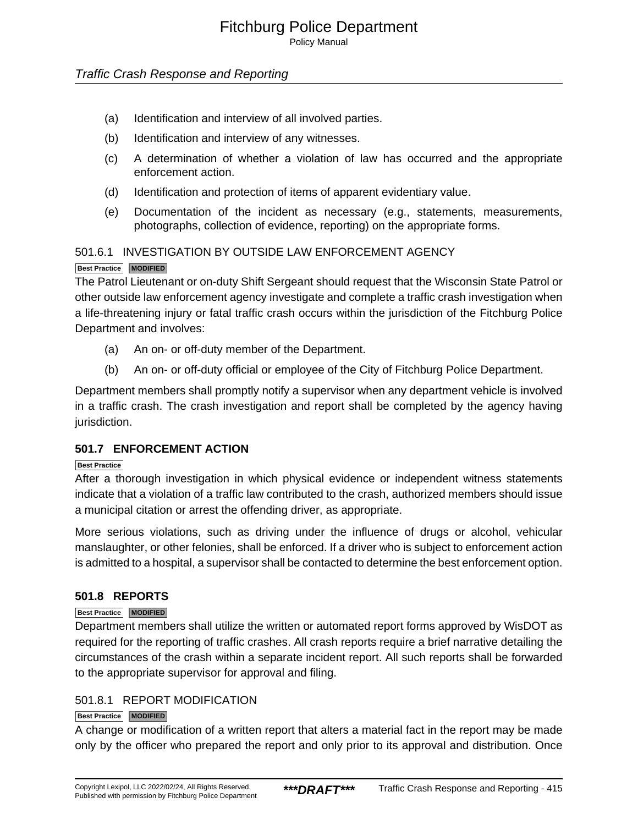Policy Manual

#### Traffic Crash Response and Reporting

- (a) Identification and interview of all involved parties.
- (b) Identification and interview of any witnesses.
- (c) A determination of whether a violation of law has occurred and the appropriate enforcement action.
- (d) Identification and protection of items of apparent evidentiary value.
- (e) Documentation of the incident as necessary (e.g., statements, measurements, photographs, collection of evidence, reporting) on the appropriate forms.

# 501.6.1 INVESTIGATION BY OUTSIDE LAW ENFORCEMENT AGENCY

#### **Best Practice MODIFIED**

The Patrol Lieutenant or on-duty Shift Sergeant should request that the Wisconsin State Patrol or other outside law enforcement agency investigate and complete a traffic crash investigation when a life-threatening injury or fatal traffic crash occurs within the jurisdiction of the Fitchburg Police Department and involves:

- (a) An on- or off-duty member of the Department.
- (b) An on- or off-duty official or employee of the City of Fitchburg Police Department.

Department members shall promptly notify a supervisor when any department vehicle is involved in a traffic crash. The crash investigation and report shall be completed by the agency having jurisdiction.

#### **501.7 ENFORCEMENT ACTION**

#### **Best Practice**

After a thorough investigation in which physical evidence or independent witness statements indicate that a violation of a traffic law contributed to the crash, authorized members should issue a municipal citation or arrest the offending driver, as appropriate.

More serious violations, such as driving under the influence of drugs or alcohol, vehicular manslaughter, or other felonies, shall be enforced. If a driver who is subject to enforcement action is admitted to a hospital, a supervisor shall be contacted to determine the best enforcement option.

#### **501.8 REPORTS**

#### **Best Practice MODIFIED**

Department members shall utilize the written or automated report forms approved by WisDOT as required for the reporting of traffic crashes. All crash reports require a brief narrative detailing the circumstances of the crash within a separate incident report. All such reports shall be forwarded to the appropriate supervisor for approval and filing.

#### 501.8.1 REPORT MODIFICATION

#### **Best Practice MODIFIED**

A change or modification of a written report that alters a material fact in the report may be made only by the officer who prepared the report and only prior to its approval and distribution. Once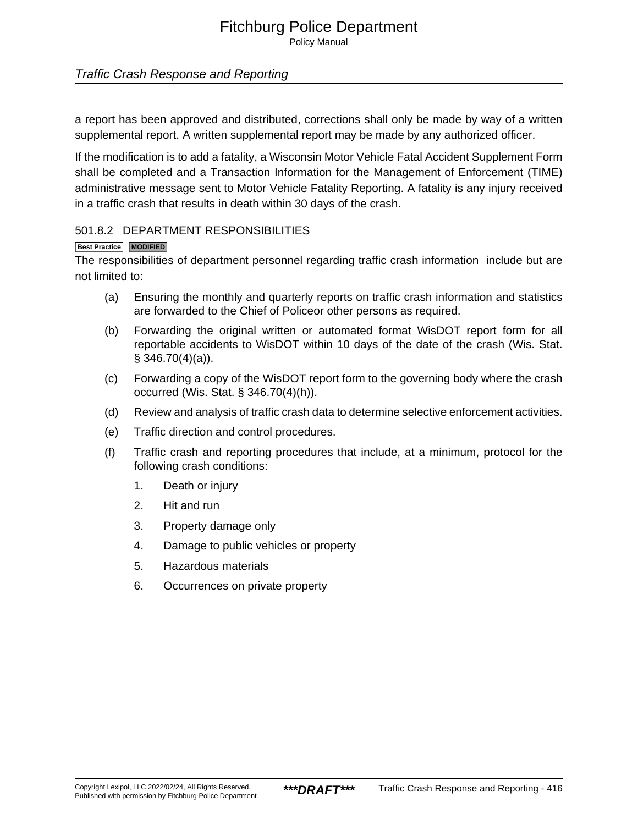### Traffic Crash Response and Reporting

a report has been approved and distributed, corrections shall only be made by way of a written supplemental report. A written supplemental report may be made by any authorized officer.

If the modification is to add a fatality, a Wisconsin Motor Vehicle Fatal Accident Supplement Form shall be completed and a Transaction Information for the Management of Enforcement (TIME) administrative message sent to Motor Vehicle Fatality Reporting. A fatality is any injury received in a traffic crash that results in death within 30 days of the crash.

#### 501.8.2 DEPARTMENT RESPONSIBILITIES

#### **Best Practice MODIFIED**

The responsibilities of department personnel regarding traffic crash information include but are not limited to:

- (a) Ensuring the monthly and quarterly reports on traffic crash information and statistics are forwarded to the Chief of Policeor other persons as required.
- (b) Forwarding the original written or automated format WisDOT report form for all reportable accidents to WisDOT within 10 days of the date of the crash (Wis. Stat.  $§$  346.70(4)(a)).
- (c) Forwarding a copy of the WisDOT report form to the governing body where the crash occurred (Wis. Stat. § 346.70(4)(h)).
- (d) Review and analysis of traffic crash data to determine selective enforcement activities.
- (e) Traffic direction and control procedures.
- (f) Traffic crash and reporting procedures that include, at a minimum, protocol for the following crash conditions:
	- 1. Death or injury
	- 2. Hit and run
	- 3. Property damage only
	- 4. Damage to public vehicles or property
	- 5. Hazardous materials
	- 6. Occurrences on private property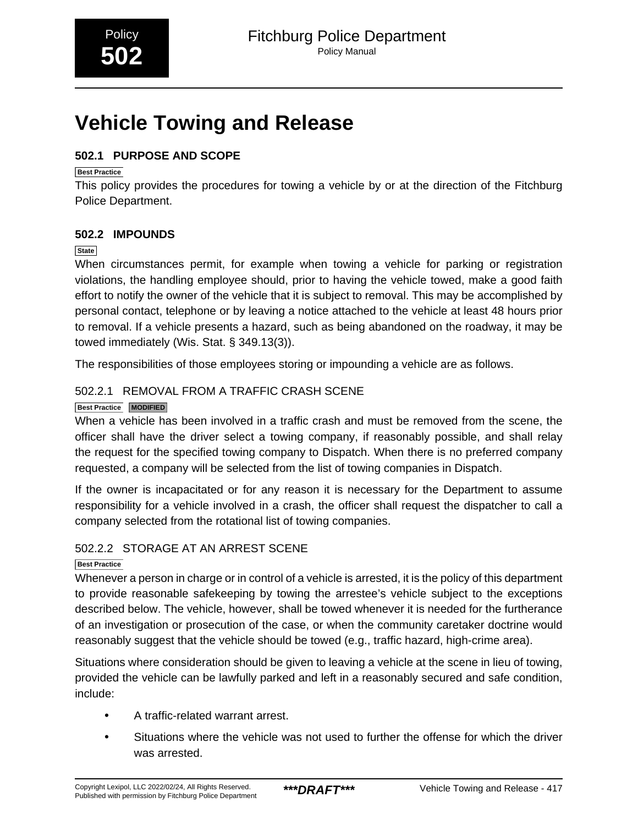# <span id="page-11-0"></span>**Vehicle Towing and Release**

# **502.1 PURPOSE AND SCOPE**

#### **Best Practice**

This policy provides the procedures for towing a vehicle by or at the direction of the Fitchburg Police Department.

# **502.2 IMPOUNDS**

#### **State**

When circumstances permit, for example when towing a vehicle for parking or registration violations, the handling employee should, prior to having the vehicle towed, make a good faith effort to notify the owner of the vehicle that it is subject to removal. This may be accomplished by personal contact, telephone or by leaving a notice attached to the vehicle at least 48 hours prior to removal. If a vehicle presents a hazard, such as being abandoned on the roadway, it may be towed immediately (Wis. Stat. § 349.13(3)).

The responsibilities of those employees storing or impounding a vehicle are as follows.

# 502.2.1 REMOVAL FROM A TRAFFIC CRASH SCENE

#### **Best Practice MODIFIED**

When a vehicle has been involved in a traffic crash and must be removed from the scene, the officer shall have the driver select a towing company, if reasonably possible, and shall relay the request for the specified towing company to Dispatch. When there is no preferred company requested, a company will be selected from the list of towing companies in Dispatch.

If the owner is incapacitated or for any reason it is necessary for the Department to assume responsibility for a vehicle involved in a crash, the officer shall request the dispatcher to call a company selected from the rotational list of towing companies.

### 502.2.2 STORAGE AT AN ARREST SCENE

### **Best Practice**

Whenever a person in charge or in control of a vehicle is arrested, it is the policy of this department to provide reasonable safekeeping by towing the arrestee's vehicle subject to the exceptions described below. The vehicle, however, shall be towed whenever it is needed for the furtherance of an investigation or prosecution of the case, or when the community caretaker doctrine would reasonably suggest that the vehicle should be towed (e.g., traffic hazard, high-crime area).

Situations where consideration should be given to leaving a vehicle at the scene in lieu of towing, provided the vehicle can be lawfully parked and left in a reasonably secured and safe condition, include:

- A traffic-related warrant arrest.
- Situations where the vehicle was not used to further the offense for which the driver was arrested.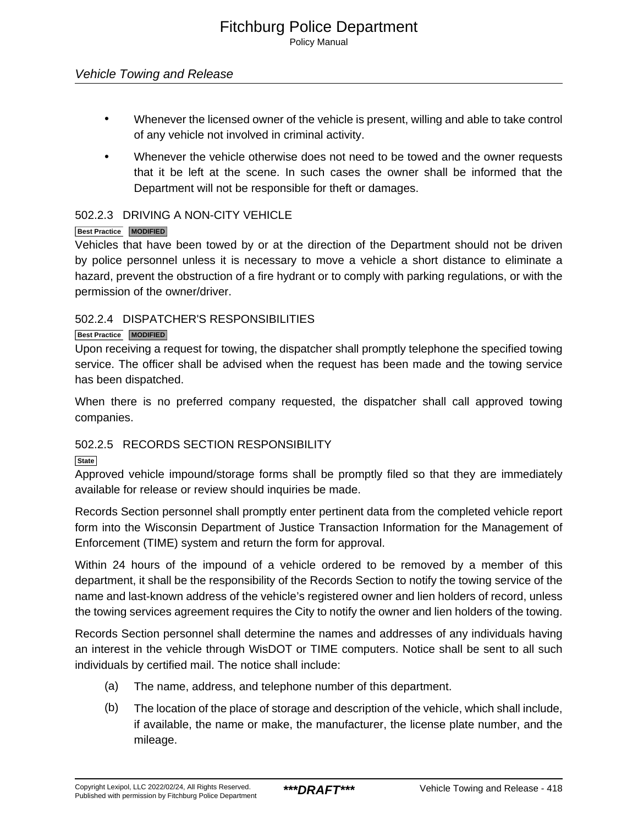- Whenever the licensed owner of the vehicle is present, willing and able to take control of any vehicle not involved in criminal activity.
- Whenever the vehicle otherwise does not need to be towed and the owner requests that it be left at the scene. In such cases the owner shall be informed that the Department will not be responsible for theft or damages.

#### 502.2.3 DRIVING A NON-CITY VEHICLE

#### **Best Practice MODIFIED**

Vehicles that have been towed by or at the direction of the Department should not be driven by police personnel unless it is necessary to move a vehicle a short distance to eliminate a hazard, prevent the obstruction of a fire hydrant or to comply with parking regulations, or with the permission of the owner/driver.

#### 502.2.4 DISPATCHER'S RESPONSIBILITIES

#### **Best Practice MODIFIED**

Upon receiving a request for towing, the dispatcher shall promptly telephone the specified towing service. The officer shall be advised when the request has been made and the towing service has been dispatched.

When there is no preferred company requested, the dispatcher shall call approved towing companies.

### 502.2.5 RECORDS SECTION RESPONSIBILITY

**State**

Approved vehicle impound/storage forms shall be promptly filed so that they are immediately available for release or review should inquiries be made.

Records Section personnel shall promptly enter pertinent data from the completed vehicle report form into the Wisconsin Department of Justice Transaction Information for the Management of Enforcement (TIME) system and return the form for approval.

Within 24 hours of the impound of a vehicle ordered to be removed by a member of this department, it shall be the responsibility of the Records Section to notify the towing service of the name and last-known address of the vehicle's registered owner and lien holders of record, unless the towing services agreement requires the City to notify the owner and lien holders of the towing.

Records Section personnel shall determine the names and addresses of any individuals having an interest in the vehicle through WisDOT or TIME computers. Notice shall be sent to all such individuals by certified mail. The notice shall include:

- (a) The name, address, and telephone number of this department.
- (b) The location of the place of storage and description of the vehicle, which shall include, if available, the name or make, the manufacturer, the license plate number, and the mileage.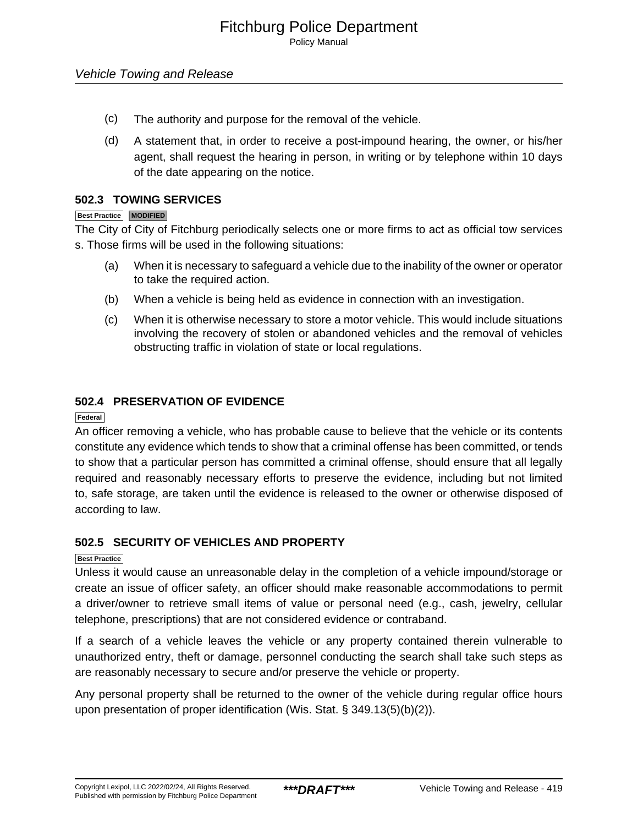- (c) The authority and purpose for the removal of the vehicle.
- (d) A statement that, in order to receive a post-impound hearing, the owner, or his/her agent, shall request the hearing in person, in writing or by telephone within 10 days of the date appearing on the notice.

#### **502.3 TOWING SERVICES**

#### **Best Practice MODIFIED**

The City of City of Fitchburg periodically selects one or more firms to act as official tow services s. Those firms will be used in the following situations:

- (a) When it is necessary to safeguard a vehicle due to the inability of the owner or operator to take the required action.
- (b) When a vehicle is being held as evidence in connection with an investigation.
- (c) When it is otherwise necessary to store a motor vehicle. This would include situations involving the recovery of stolen or abandoned vehicles and the removal of vehicles obstructing traffic in violation of state or local regulations.

#### **502.4 PRESERVATION OF EVIDENCE**

#### **Federal**

An officer removing a vehicle, who has probable cause to believe that the vehicle or its contents constitute any evidence which tends to show that a criminal offense has been committed, or tends to show that a particular person has committed a criminal offense, should ensure that all legally required and reasonably necessary efforts to preserve the evidence, including but not limited to, safe storage, are taken until the evidence is released to the owner or otherwise disposed of according to law.

#### **502.5 SECURITY OF VEHICLES AND PROPERTY**

#### **Best Practice**

Unless it would cause an unreasonable delay in the completion of a vehicle impound/storage or create an issue of officer safety, an officer should make reasonable accommodations to permit a driver/owner to retrieve small items of value or personal need (e.g., cash, jewelry, cellular telephone, prescriptions) that are not considered evidence or contraband.

If a search of a vehicle leaves the vehicle or any property contained therein vulnerable to unauthorized entry, theft or damage, personnel conducting the search shall take such steps as are reasonably necessary to secure and/or preserve the vehicle or property.

Any personal property shall be returned to the owner of the vehicle during regular office hours upon presentation of proper identification (Wis. Stat. § 349.13(5)(b)(2)).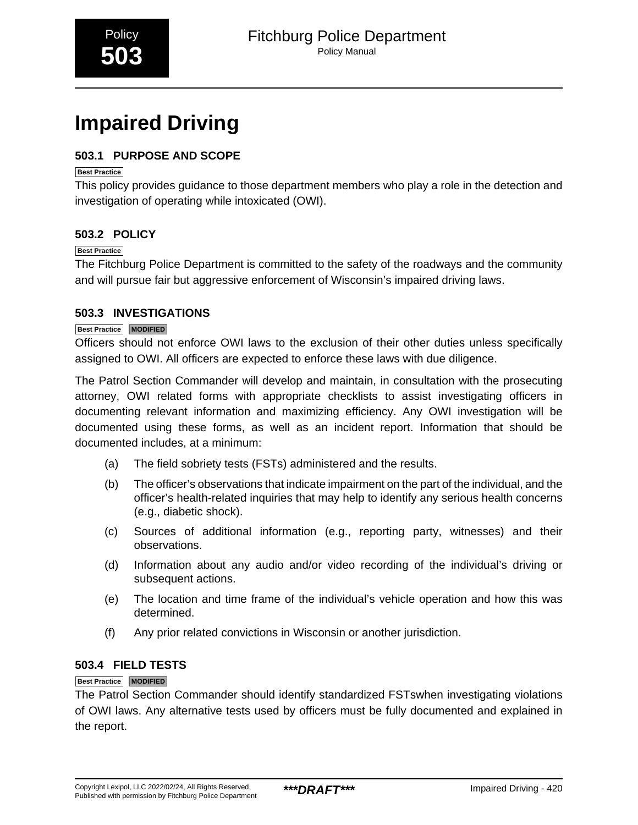# <span id="page-14-0"></span>**Impaired Driving**

# **503.1 PURPOSE AND SCOPE**

#### **Best Practice**

This policy provides guidance to those department members who play a role in the detection and investigation of operating while intoxicated (OWI).

### **503.2 POLICY**

#### **Best Practice**

The Fitchburg Police Department is committed to the safety of the roadways and the community and will pursue fair but aggressive enforcement of Wisconsin's impaired driving laws.

#### **503.3 INVESTIGATIONS**

#### **Best Practice MODIFIED**

Officers should not enforce OWI laws to the exclusion of their other duties unless specifically assigned to OWI. All officers are expected to enforce these laws with due diligence.

The Patrol Section Commander will develop and maintain, in consultation with the prosecuting attorney, OWI related forms with appropriate checklists to assist investigating officers in documenting relevant information and maximizing efficiency. Any OWI investigation will be documented using these forms, as well as an incident report. Information that should be documented includes, at a minimum:

- (a) The field sobriety tests (FSTs) administered and the results.
- (b) The officer's observations that indicate impairment on the part of the individual, and the officer's health-related inquiries that may help to identify any serious health concerns (e.g., diabetic shock).
- (c) Sources of additional information (e.g., reporting party, witnesses) and their observations.
- (d) Information about any audio and/or video recording of the individual's driving or subsequent actions.
- (e) The location and time frame of the individual's vehicle operation and how this was determined.
- (f) Any prior related convictions in Wisconsin or another jurisdiction.

#### **503.4 FIELD TESTS**

#### **Best Practice MODIFIED**

The Patrol Section Commander should identify standardized FSTswhen investigating violations of OWI laws. Any alternative tests used by officers must be fully documented and explained in the report.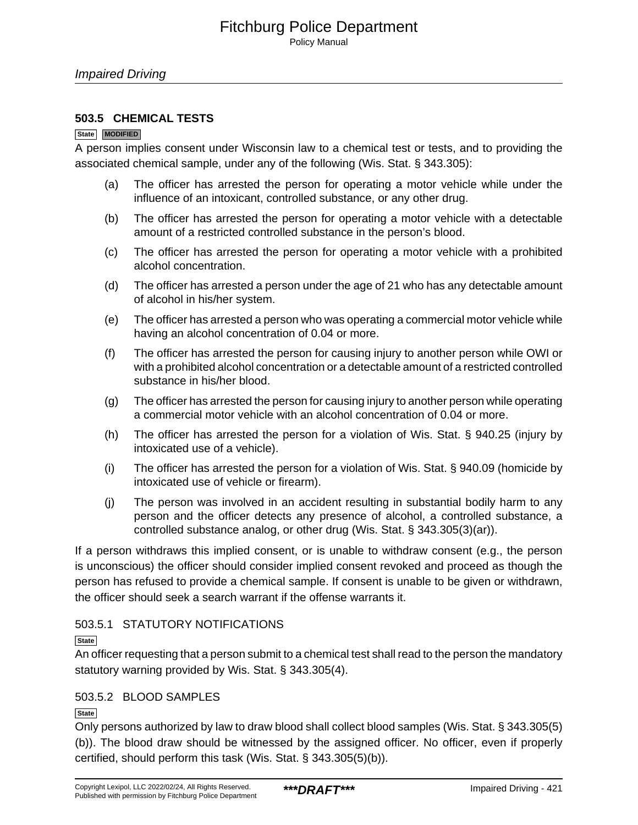#### **503.5 CHEMICAL TESTS**

#### **State MODIFIED**

A person implies consent under Wisconsin law to a chemical test or tests, and to providing the associated chemical sample, under any of the following (Wis. Stat. § 343.305):

- (a) The officer has arrested the person for operating a motor vehicle while under the influence of an intoxicant, controlled substance, or any other drug.
- (b) The officer has arrested the person for operating a motor vehicle with a detectable amount of a restricted controlled substance in the person's blood.
- (c) The officer has arrested the person for operating a motor vehicle with a prohibited alcohol concentration.
- (d) The officer has arrested a person under the age of 21 who has any detectable amount of alcohol in his/her system.
- (e) The officer has arrested a person who was operating a commercial motor vehicle while having an alcohol concentration of 0.04 or more.
- (f) The officer has arrested the person for causing injury to another person while OWI or with a prohibited alcohol concentration or a detectable amount of a restricted controlled substance in his/her blood.
- (g) The officer has arrested the person for causing injury to another person while operating a commercial motor vehicle with an alcohol concentration of 0.04 or more.
- (h) The officer has arrested the person for a violation of Wis. Stat. § 940.25 (injury by intoxicated use of a vehicle).
- (i) The officer has arrested the person for a violation of Wis. Stat. § 940.09 (homicide by intoxicated use of vehicle or firearm).
- (j) The person was involved in an accident resulting in substantial bodily harm to any person and the officer detects any presence of alcohol, a controlled substance, a controlled substance analog, or other drug (Wis. Stat. § 343.305(3)(ar)).

If a person withdraws this implied consent, or is unable to withdraw consent (e.g., the person is unconscious) the officer should consider implied consent revoked and proceed as though the person has refused to provide a chemical sample. If consent is unable to be given or withdrawn, the officer should seek a search warrant if the offense warrants it.

### 503.5.1 STATUTORY NOTIFICATIONS

#### **State**

An officer requesting that a person submit to a chemical test shall read to the person the mandatory statutory warning provided by Wis. Stat. § 343.305(4).

#### 503.5.2 BLOOD SAMPLES

**State**

Only persons authorized by law to draw blood shall collect blood samples (Wis. Stat. § 343.305(5) (b)). The blood draw should be witnessed by the assigned officer. No officer, even if properly certified, should perform this task (Wis. Stat. § 343.305(5)(b)).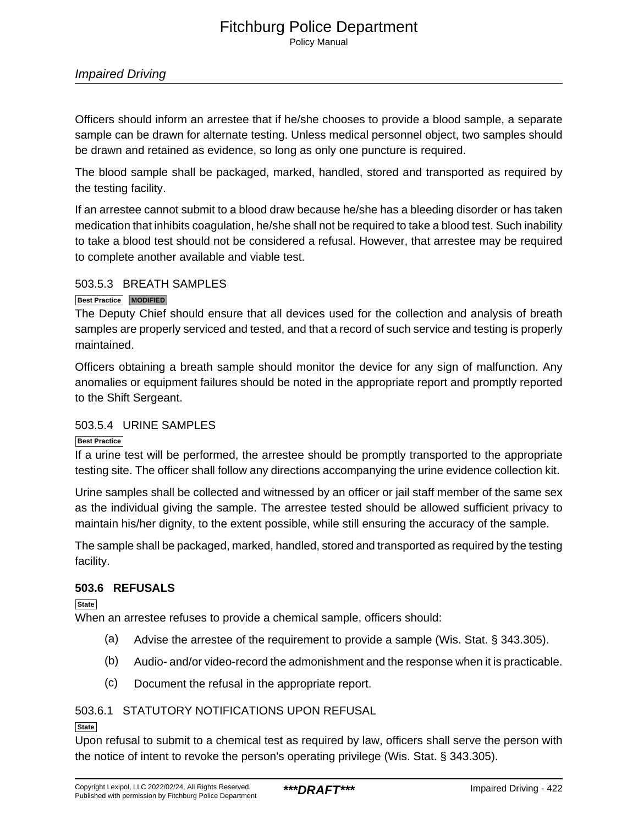#### Fitchburg Police Department Policy Manual

#### Impaired Driving

Officers should inform an arrestee that if he/she chooses to provide a blood sample, a separate sample can be drawn for alternate testing. Unless medical personnel object, two samples should be drawn and retained as evidence, so long as only one puncture is required.

The blood sample shall be packaged, marked, handled, stored and transported as required by the testing facility.

If an arrestee cannot submit to a blood draw because he/she has a bleeding disorder or has taken medication that inhibits coagulation, he/she shall not be required to take a blood test. Such inability to take a blood test should not be considered a refusal. However, that arrestee may be required to complete another available and viable test.

#### 503.5.3 BREATH SAMPLES

#### **Best Practice MODIFIED**

The Deputy Chief should ensure that all devices used for the collection and analysis of breath samples are properly serviced and tested, and that a record of such service and testing is properly maintained.

Officers obtaining a breath sample should monitor the device for any sign of malfunction. Any anomalies or equipment failures should be noted in the appropriate report and promptly reported to the Shift Sergeant.

#### 503.5.4 URINE SAMPLES

#### **Best Practice**

If a urine test will be performed, the arrestee should be promptly transported to the appropriate testing site. The officer shall follow any directions accompanying the urine evidence collection kit.

Urine samples shall be collected and witnessed by an officer or jail staff member of the same sex as the individual giving the sample. The arrestee tested should be allowed sufficient privacy to maintain his/her dignity, to the extent possible, while still ensuring the accuracy of the sample.

The sample shall be packaged, marked, handled, stored and transported as required by the testing facility.

#### **503.6 REFUSALS**

**State**

When an arrestee refuses to provide a chemical sample, officers should:

- (a) Advise the arrestee of the requirement to provide a sample (Wis. Stat. § 343.305).
- (b) Audio- and/or video-record the admonishment and the response when it is practicable.
- (c) Document the refusal in the appropriate report.

### 503.6.1 STATUTORY NOTIFICATIONS UPON REFUSAL

#### **State**

Upon refusal to submit to a chemical test as required by law, officers shall serve the person with the notice of intent to revoke the person's operating privilege (Wis. Stat. § 343.305).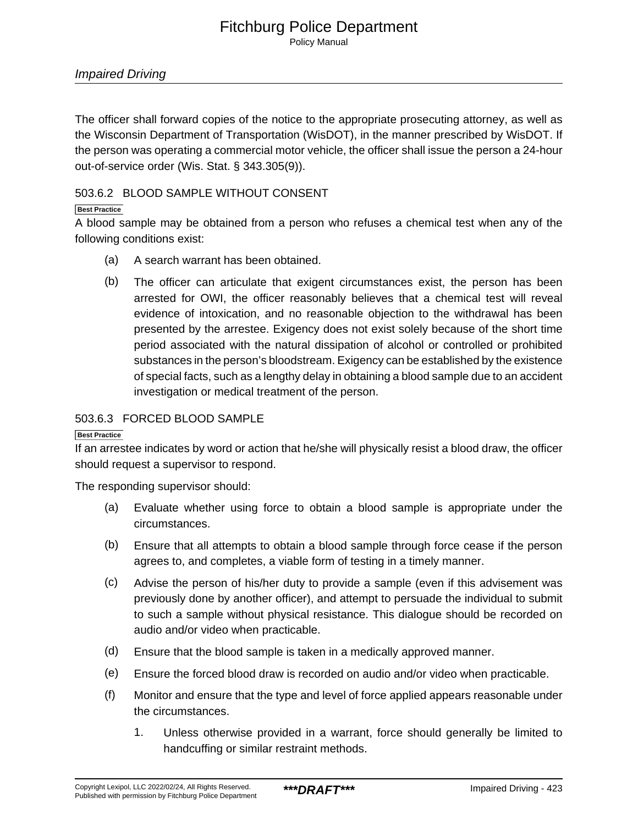Policy Manual

The officer shall forward copies of the notice to the appropriate prosecuting attorney, as well as the Wisconsin Department of Transportation (WisDOT), in the manner prescribed by WisDOT. If the person was operating a commercial motor vehicle, the officer shall issue the person a 24-hour out-of-service order (Wis. Stat. § 343.305(9)).

#### 503.6.2 BLOOD SAMPLE WITHOUT CONSENT

#### **Best Practice**

A blood sample may be obtained from a person who refuses a chemical test when any of the following conditions exist:

- (a) A search warrant has been obtained.
- (b) The officer can articulate that exigent circumstances exist, the person has been arrested for OWI, the officer reasonably believes that a chemical test will reveal evidence of intoxication, and no reasonable objection to the withdrawal has been presented by the arrestee. Exigency does not exist solely because of the short time period associated with the natural dissipation of alcohol or controlled or prohibited substances in the person's bloodstream. Exigency can be established by the existence of special facts, such as a lengthy delay in obtaining a blood sample due to an accident investigation or medical treatment of the person.

#### 503.6.3 FORCED BLOOD SAMPLE

#### **Best Practice**

If an arrestee indicates by word or action that he/she will physically resist a blood draw, the officer should request a supervisor to respond.

The responding supervisor should:

- (a) Evaluate whether using force to obtain a blood sample is appropriate under the circumstances.
- (b) Ensure that all attempts to obtain a blood sample through force cease if the person agrees to, and completes, a viable form of testing in a timely manner.
- (c) Advise the person of his/her duty to provide a sample (even if this advisement was previously done by another officer), and attempt to persuade the individual to submit to such a sample without physical resistance. This dialogue should be recorded on audio and/or video when practicable.
- (d) Ensure that the blood sample is taken in a medically approved manner.
- (e) Ensure the forced blood draw is recorded on audio and/or video when practicable.
- (f) Monitor and ensure that the type and level of force applied appears reasonable under the circumstances.
	- 1. Unless otherwise provided in a warrant, force should generally be limited to handcuffing or similar restraint methods.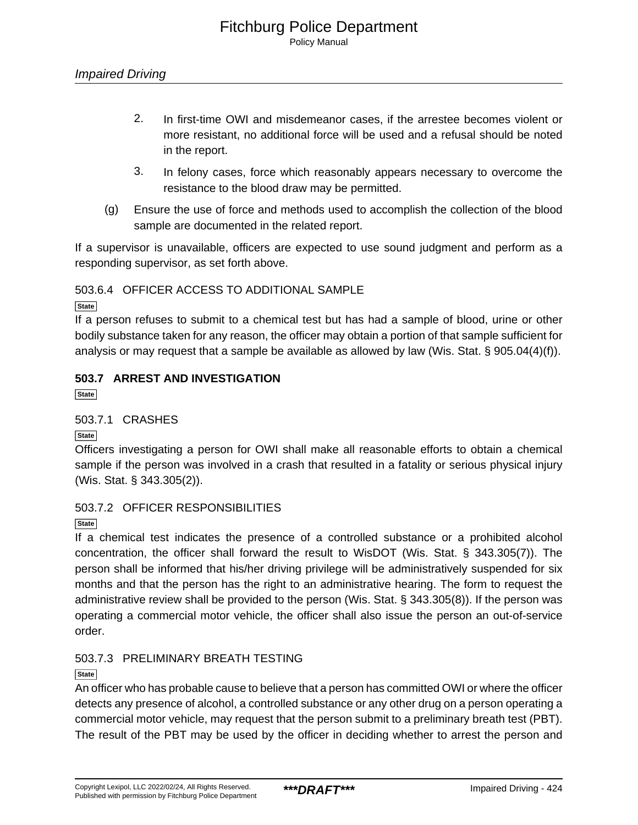- 2. In first-time OWI and misdemeanor cases, if the arrestee becomes violent or more resistant, no additional force will be used and a refusal should be noted in the report.
- 3. In felony cases, force which reasonably appears necessary to overcome the resistance to the blood draw may be permitted.
- (g) Ensure the use of force and methods used to accomplish the collection of the blood sample are documented in the related report.

If a supervisor is unavailable, officers are expected to use sound judgment and perform as a responding supervisor, as set forth above.

503.6.4 OFFICER ACCESS TO ADDITIONAL SAMPLE

**State**

If a person refuses to submit to a chemical test but has had a sample of blood, urine or other bodily substance taken for any reason, the officer may obtain a portion of that sample sufficient for analysis or may request that a sample be available as allowed by law (Wis. Stat. § 905.04(4)(f)).

# **503.7 ARREST AND INVESTIGATION**

**State**

#### 503.7.1 CRASHES

**State**

Officers investigating a person for OWI shall make all reasonable efforts to obtain a chemical sample if the person was involved in a crash that resulted in a fatality or serious physical injury (Wis. Stat. § 343.305(2)).

### 503.7.2 OFFICER RESPONSIBILITIES

**State**

If a chemical test indicates the presence of a controlled substance or a prohibited alcohol concentration, the officer shall forward the result to WisDOT (Wis. Stat. § 343.305(7)). The person shall be informed that his/her driving privilege will be administratively suspended for six months and that the person has the right to an administrative hearing. The form to request the administrative review shall be provided to the person (Wis. Stat. § 343.305(8)). If the person was operating a commercial motor vehicle, the officer shall also issue the person an out-of-service order.

### 503.7.3 PRELIMINARY BREATH TESTING

#### **State**

An officer who has probable cause to believe that a person has committed OWI or where the officer detects any presence of alcohol, a controlled substance or any other drug on a person operating a commercial motor vehicle, may request that the person submit to a preliminary breath test (PBT). The result of the PBT may be used by the officer in deciding whether to arrest the person and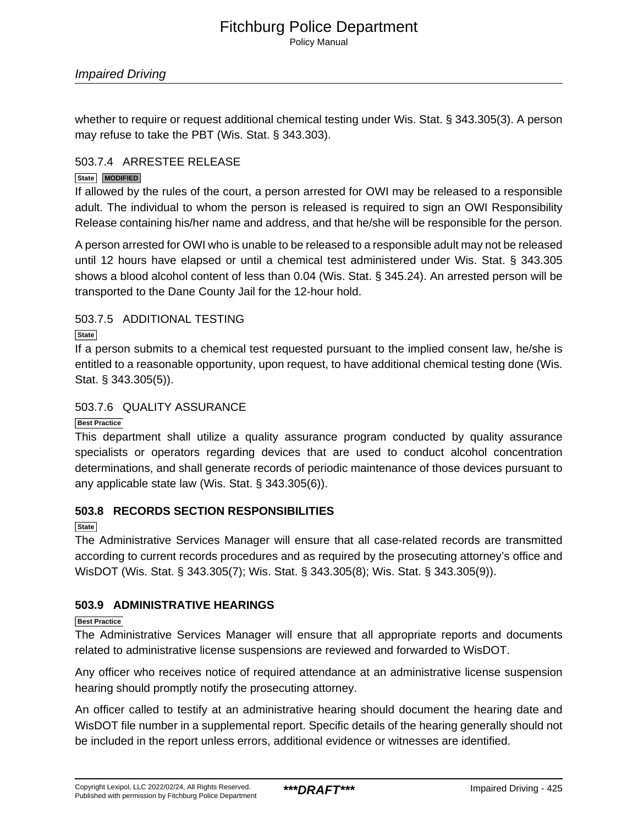whether to require or request additional chemical testing under Wis. Stat. § 343.305(3). A person may refuse to take the PBT (Wis. Stat. § 343.303).

#### 503.7.4 ARRESTEE RELEASE

#### **State MODIFIED**

If allowed by the rules of the court, a person arrested for OWI may be released to a responsible adult. The individual to whom the person is released is required to sign an OWI Responsibility Release containing his/her name and address, and that he/she will be responsible for the person.

A person arrested for OWI who is unable to be released to a responsible adult may not be released until 12 hours have elapsed or until a chemical test administered under Wis. Stat. § 343.305 shows a blood alcohol content of less than 0.04 (Wis. Stat. § 345.24). An arrested person will be transported to the Dane County Jail for the 12-hour hold.

#### 503.7.5 ADDITIONAL TESTING

#### **State**

If a person submits to a chemical test requested pursuant to the implied consent law, he/she is entitled to a reasonable opportunity, upon request, to have additional chemical testing done (Wis. Stat. § 343.305(5)).

#### 503.7.6 QUALITY ASSURANCE

#### **Best Practice**

This department shall utilize a quality assurance program conducted by quality assurance specialists or operators regarding devices that are used to conduct alcohol concentration determinations, and shall generate records of periodic maintenance of those devices pursuant to any applicable state law (Wis. Stat. § 343.305(6)).

### **503.8 RECORDS SECTION RESPONSIBILITIES**

**State**

The Administrative Services Manager will ensure that all case-related records are transmitted according to current records procedures and as required by the prosecuting attorney's office and WisDOT (Wis. Stat. § 343.305(7); Wis. Stat. § 343.305(8); Wis. Stat. § 343.305(9)).

### **503.9 ADMINISTRATIVE HEARINGS**

#### **Best Practice**

The Administrative Services Manager will ensure that all appropriate reports and documents related to administrative license suspensions are reviewed and forwarded to WisDOT.

Any officer who receives notice of required attendance at an administrative license suspension hearing should promptly notify the prosecuting attorney.

An officer called to testify at an administrative hearing should document the hearing date and WisDOT file number in a supplemental report. Specific details of the hearing generally should not be included in the report unless errors, additional evidence or witnesses are identified.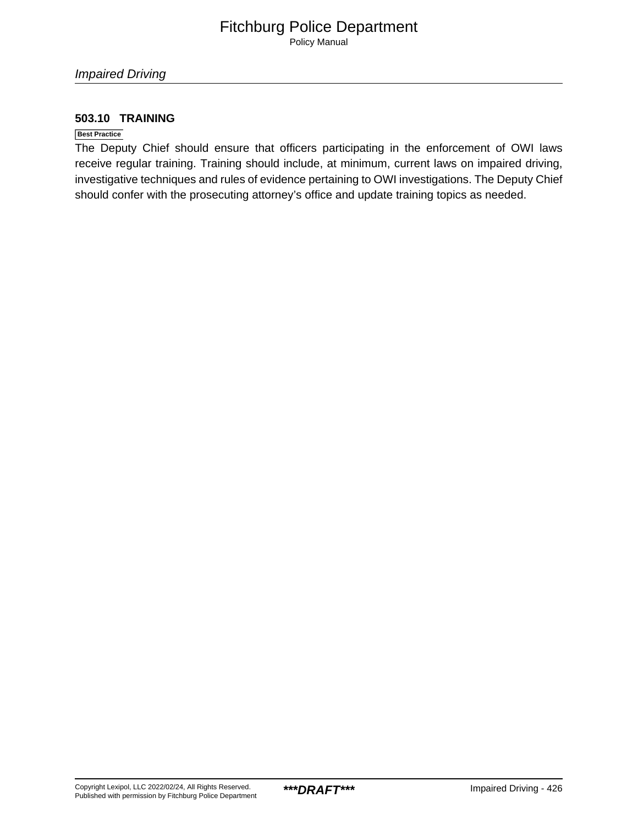Policy Manual

#### **503.10 TRAINING**

#### **Best Practice**

The Deputy Chief should ensure that officers participating in the enforcement of OWI laws receive regular training. Training should include, at minimum, current laws on impaired driving, investigative techniques and rules of evidence pertaining to OWI investigations. The Deputy Chief should confer with the prosecuting attorney's office and update training topics as needed.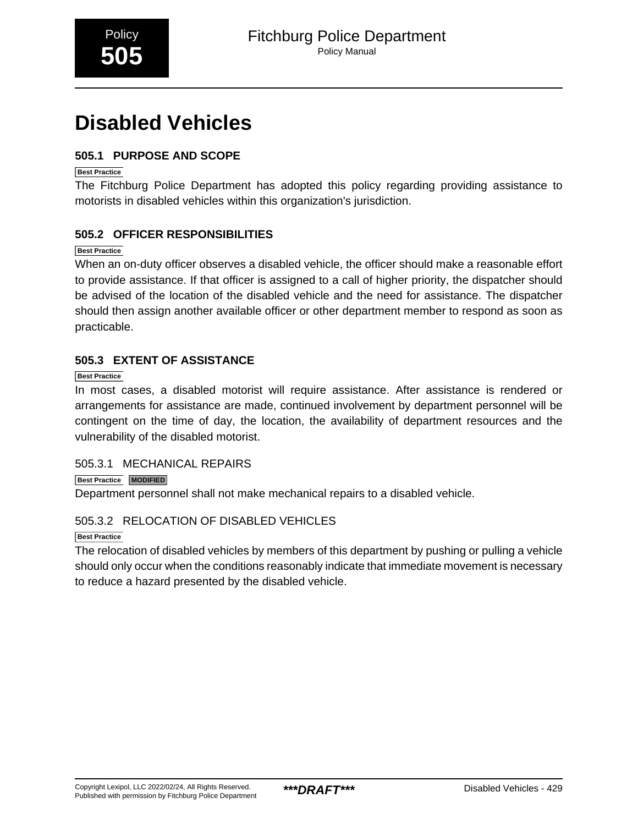# <span id="page-21-0"></span>**Disabled Vehicles**

# **505.1 PURPOSE AND SCOPE**

**Best Practice**

The Fitchburg Police Department has adopted this policy regarding providing assistance to motorists in disabled vehicles within this organization's jurisdiction.

# **505.2 OFFICER RESPONSIBILITIES**

**Best Practice**

When an on-duty officer observes a disabled vehicle, the officer should make a reasonable effort to provide assistance. If that officer is assigned to a call of higher priority, the dispatcher should be advised of the location of the disabled vehicle and the need for assistance. The dispatcher should then assign another available officer or other department member to respond as soon as practicable.

### **505.3 EXTENT OF ASSISTANCE**

**Best Practice**

In most cases, a disabled motorist will require assistance. After assistance is rendered or arrangements for assistance are made, continued involvement by department personnel will be contingent on the time of day, the location, the availability of department resources and the vulnerability of the disabled motorist.

#### 505.3.1 MECHANICAL REPAIRS

**Best Practice MODIFIED**

Department personnel shall not make mechanical repairs to a disabled vehicle.

### 505.3.2 RELOCATION OF DISABLED VEHICLES

**Best Practice**

The relocation of disabled vehicles by members of this department by pushing or pulling a vehicle should only occur when the conditions reasonably indicate that immediate movement is necessary to reduce a hazard presented by the disabled vehicle.